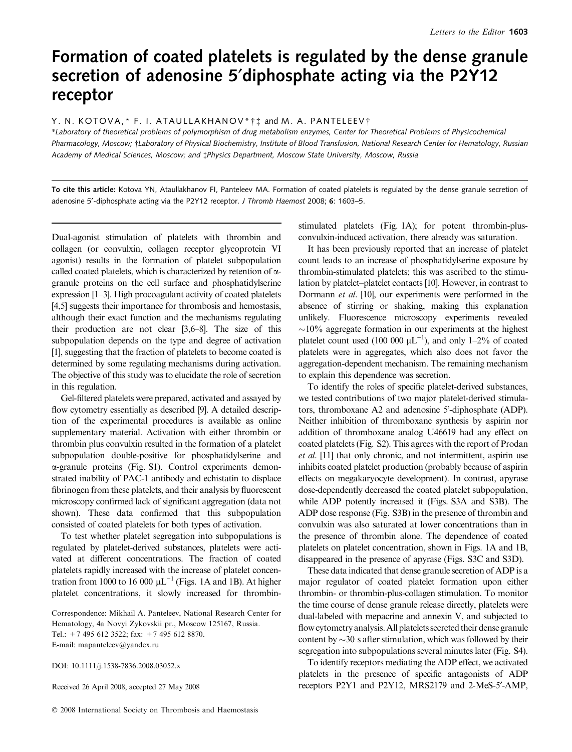# Formation of coated platelets is regulated by the dense granule secretion of adenosine 5'diphosphate acting via the P2Y12 receptor

# Y. N. KOTOVA,\* F. I. ATAULLAKHANOV\* + t and M. A. PANTELEEV+

\*Laboratory of theoretical problems of polymorphism of drug metabolism enzymes, Center for Theoretical Problems of Physicochemical Pharmacology, Moscow; †Laboratory of Physical Biochemistry, Institute of Blood Transfusion, National Research Center for Hematology, Russian Academy of Medical Sciences, Moscow; and tPhysics Department, Moscow State University, Moscow, Russia

To cite this article: Kotova YN, Ataullakhanov FI, Panteleev MA. Formation of coated platelets is regulated by the dense granule secretion of adenosine 5'-diphosphate acting via the P2Y12 receptor. J Thromb Haemost 2008; 6: 1603-5.

Dual-agonist stimulation of platelets with thrombin and collagen (or convulxin, collagen receptor glycoprotein VI agonist) results in the formation of platelet subpopulation called coated platelets, which is characterized by retention of agranule proteins on the cell surface and phosphatidylserine expression [1–3]. High procoagulant activity of coated platelets [4,5] suggests their importance for thrombosis and hemostasis, although their exact function and the mechanisms regulating their production are not clear [3,6–8]. The size of this subpopulation depends on the type and degree of activation [1], suggesting that the fraction of platelets to become coated is determined by some regulating mechanisms during activation. The objective of this study was to elucidate the role of secretion in this regulation.

Gel-filtered platelets were prepared, activated and assayed by flow cytometry essentially as described [9]. A detailed description of the experimental procedures is available as online supplementary material. Activation with either thrombin or thrombin plus convulxin resulted in the formation of a platelet subpopulation double-positive for phosphatidylserine and a-granule proteins (Fig. S1). Control experiments demonstrated inability of PAC-1 antibody and echistatin to displace fibrinogen from these platelets, and their analysis by fluorescent microscopy confirmed lack of significant aggregation (data not shown). These data confirmed that this subpopulation consisted of coated platelets for both types of activation.

To test whether platelet segregation into subpopulations is regulated by platelet-derived substances, platelets were activated at different concentrations. The fraction of coated platelets rapidly increased with the increase of platelet concentration from 1000 to 16 000  $\mu L^{-1}$  (Figs. 1A and 1B). At higher platelet concentrations, it slowly increased for thrombin-

Correspondence: Mikhail A. Panteleev, National Research Center for Hematology, 4a Novyi Zykovskii pr., Moscow 125167, Russia. Tel.:  $+7$  495 612 3522; fax:  $+7$  495 612 8870. E-mail: mapanteleev@yandex.ru

DOI: 10.1111/j.1538-7836.2008.03052.x

Received 26 April 2008, accepted 27 May 2008

stimulated platelets (Fig. 1A); for potent thrombin-plusconvulxin-induced activation, there already was saturation.

It has been previously reported that an increase of platelet count leads to an increase of phosphatidylserine exposure by thrombin-stimulated platelets; this was ascribed to the stimulation by platelet–platelet contacts [10]. However, in contrast to Dormann et al. [10], our experiments were performed in the absence of stirring or shaking, making this explanation unlikely. Fluorescence microscopy experiments revealed  $\sim$ 10% aggregate formation in our experiments at the highest platelet count used (100 000  $\mu$ L<sup>-1</sup>), and only 1-2% of coated platelets were in aggregates, which also does not favor the aggregation-dependent mechanism. The remaining mechanism to explain this dependence was secretion.

To identify the roles of specific platelet-derived substances, we tested contributions of two major platelet-derived stimulators, thromboxane A2 and adenosine 5-diphosphate (ADP). Neither inhibition of thromboxane synthesis by aspirin nor addition of thromboxane analog U46619 had any effect on coated platelets (Fig. S2). This agrees with the report of Prodan et al. [11] that only chronic, and not intermittent, aspirin use inhibits coated platelet production (probably because of aspirin effects on megakaryocyte development). In contrast, apyrase dose-dependently decreased the coated platelet subpopulation, while ADP potently increased it (Figs. S3A and S3B). The ADP dose response (Fig. S3B) in the presence of thrombin and convulxin was also saturated at lower concentrations than in the presence of thrombin alone. The dependence of coated platelets on platelet concentration, shown in Figs. 1A and 1B, disappeared in the presence of apyrase (Figs. S3C and S3D).

These data indicated that dense granule secretion of ADP is a major regulator of coated platelet formation upon either thrombin- or thrombin-plus-collagen stimulation. To monitor the time course of dense granule release directly, platelets were dual-labeled with mepacrine and annexin V, and subjected to flow cytometry analysis.All platelets secreted their dense granule content by  $\sim$  30 s after stimulation, which was followed by their segregation into subpopulations several minutes later (Fig. S4).

To identify receptors mediating the ADP effect, we activated platelets in the presence of specific antagonists of ADP receptors P2Y1 and P2Y12, MRS2179 and 2-MeS-5'-AMP,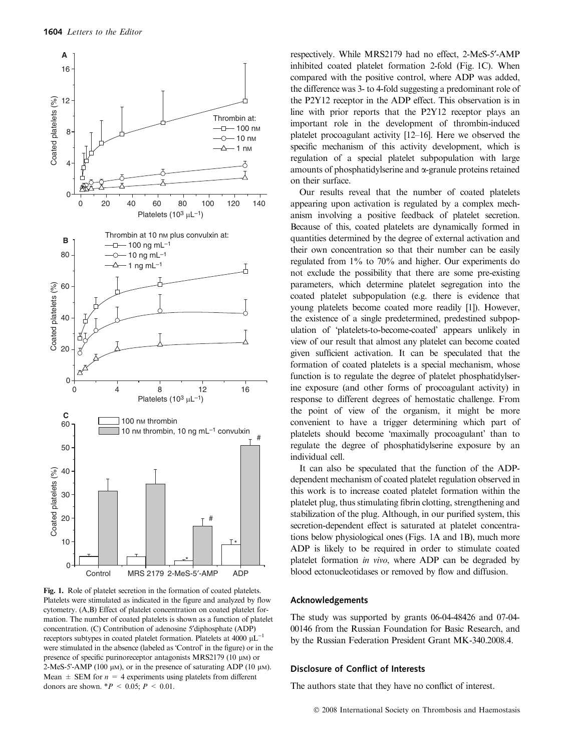

Fig. 1. Role of platelet secretion in the formation of coated platelets. Platelets were stimulated as indicated in the figure and analyzed by flow cytometry. (A,B) Effect of platelet concentration on coated platelet formation. The number of coated platelets is shown as a function of platelet concentration. (C) Contribution of adenosine 5¢diphosphate (ADP) receptors subtypes in coated platelet formation. Platelets at 4000  $\mu L^{-1}$ were stimulated in the absence (labeled as 'Control' in the figure) or in the presence of specific purinoreceptor antagonists MRS2179 (10  $\mu$ M) or 2-MeS-5'-AMP (100  $\mu$ m), or in the presence of saturating ADP (10  $\mu$ m). Mean  $\pm$  SEM for  $n = 4$  experiments using platelets from different donors are shown.  $*P < 0.05$ ;  $P < 0.01$ .

respectively. While MRS2179 had no effect, 2-MeS-5'-AMP inhibited coated platelet formation 2-fold (Fig. 1C). When compared with the positive control, where ADP was added, the difference was 3- to 4-fold suggesting a predominant role of the P2Y12 receptor in the ADP effect. This observation is in line with prior reports that the P2Y12 receptor plays an important role in the development of thrombin-induced platelet procoagulant activity [12–16]. Here we observed the specific mechanism of this activity development, which is regulation of a special platelet subpopulation with large amounts of phosphatidylserine and a-granule proteins retained on their surface.

Our results reveal that the number of coated platelets appearing upon activation is regulated by a complex mechanism involving a positive feedback of platelet secretion. Because of this, coated platelets are dynamically formed in quantities determined by the degree of external activation and their own concentration so that their number can be easily regulated from 1% to 70% and higher. Our experiments do not exclude the possibility that there are some pre-existing parameters, which determine platelet segregation into the coated platelet subpopulation (e.g. there is evidence that young platelets become coated more readily [1]). However, the existence of a single predetermined, predestined subpopulation of 'platelets-to-become-coated' appears unlikely in view of our result that almost any platelet can become coated given sufficient activation. It can be speculated that the formation of coated platelets is a special mechanism, whose function is to regulate the degree of platelet phosphatidylserine exposure (and other forms of procoagulant activity) in response to different degrees of hemostatic challenge. From the point of view of the organism, it might be more convenient to have a trigger determining which part of platelets should become 'maximally procoagulant' than to regulate the degree of phosphatidylserine exposure by an individual cell.

It can also be speculated that the function of the ADPdependent mechanism of coated platelet regulation observed in this work is to increase coated platelet formation within the platelet plug, thus stimulating fibrin clotting, strengthening and stabilization of the plug. Although, in our purified system, this secretion-dependent effect is saturated at platelet concentrations below physiological ones (Figs. 1A and 1B), much more ADP is likely to be required in order to stimulate coated platelet formation in vivo, where ADP can be degraded by blood ectonucleotidases or removed by flow and diffusion.

### Acknowledgements

The study was supported by grants 06-04-48426 and 07-04- 00146 from the Russian Foundation for Basic Research, and by the Russian Federation President Grant MK-340.2008.4.

#### Disclosure of Conflict of Interests

The authors state that they have no conflict of interest.